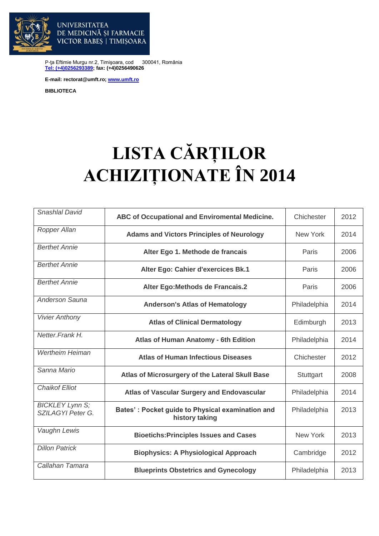

DE MEDICINĂ ȘI FARMACIE VICTOR BABES | TIMISOARA

P-ţa Eftimie Murgu nr.2, Timişoara, cod 300041, România **[Tel: \(+4\)0256293389;](tel:(40)0256293389) fax: (+4)0256490626**

**E-mail: rectorat@umft.ro; [www.umft.ro](http://www.umft.ro/)**

**UNIVERSITATEA** 

**BIBLIOTECA**

## **LISTA CĂRȚILOR ACHIZIȚIONATE ÎN 2014**

| Snashlal David                                     | ABC of Occupational and Enviromental Medicine.                     | Chichester      | 2012 |
|----------------------------------------------------|--------------------------------------------------------------------|-----------------|------|
| Ropper Allan                                       | <b>Adams and Victors Principles of Neurology</b>                   | <b>New York</b> | 2014 |
| <b>Berthet Annie</b>                               | Alter Ego 1. Methode de francais                                   | Paris           | 2006 |
| <b>Berthet Annie</b>                               | Alter Ego: Cahier d'exercices Bk.1                                 | Paris           | 2006 |
| <b>Berthet Annie</b>                               | Alter Ego: Methods de Francais.2                                   | Paris           | 2006 |
| <b>Anderson Sauna</b>                              | <b>Anderson's Atlas of Hematology</b>                              | Philadelphia    | 2014 |
| <b>Vivier Anthony</b>                              | <b>Atlas of Clinical Dermatology</b>                               | Edimburgh       | 2013 |
| Netter.Frank H.                                    | Atlas of Human Anatomy - 6th Edition                               | Philadelphia    | 2014 |
| <b>Wertheim Heiman</b>                             | <b>Atlas of Human Infectious Diseases</b>                          | Chichester      | 2012 |
| Sanna Mario                                        | Atlas of Microsurgery of the Lateral Skull Base                    | Stuttgart       | 2008 |
| <b>Chaikof Elliot</b>                              | <b>Atlas of Vascular Surgery and Endovascular</b>                  | Philadelphia    | 2014 |
| <b>BICKLEY Lynn S:</b><br><b>SZILAGYI Peter G.</b> | Bates': Pocket guide to Physical examination and<br>history taking | Philadelphia    | 2013 |
| Vaughn Lewis                                       | <b>Bioetichs: Principles Issues and Cases</b>                      | <b>New York</b> | 2013 |
| <b>Dillon Patrick</b>                              | <b>Biophysics: A Physiological Approach</b>                        | Cambridge       | 2012 |
| Callahan Tamara                                    | <b>Blueprints Obstetrics and Gynecology</b>                        | Philadelphia    | 2013 |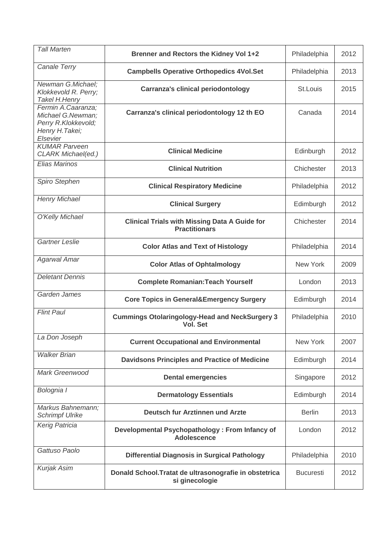| <b>Tall Marten</b>                                                                            | Brenner and Rectors the Kidney Vol 1+2                                       | Philadelphia     | 2012 |
|-----------------------------------------------------------------------------------------------|------------------------------------------------------------------------------|------------------|------|
| Canale Terry                                                                                  | <b>Campbells Operative Orthopedics 4Vol.Set</b>                              | Philadelphia     | 2013 |
| Newman G.Michael:<br>Klokkevold R. Perry;<br>Takel H.Henry                                    | <b>Carranza's clinical periodontology</b>                                    | St.Louis         | 2015 |
| Fermin A.Caaranza;<br>Michael G.Newman;<br>Perry R.Klokkevold;<br>Henry H. Takei;<br>Elsevier | Carranza's clinical periodontology 12 th EO                                  | Canada           | 2014 |
| <b>KUMAR Parveen</b><br>CLARK Michael(ed.)                                                    | <b>Clinical Medicine</b>                                                     | Edinburgh        | 2012 |
| Elias Marinos                                                                                 | <b>Clinical Nutrition</b>                                                    | Chichester       | 2013 |
| Spiro Stephen                                                                                 | <b>Clinical Respiratory Medicine</b>                                         | Philadelphia     | 2012 |
| <b>Henry Michael</b>                                                                          | <b>Clinical Surgery</b>                                                      | Edimburgh        | 2012 |
| O'Kelly Michael                                                                               | <b>Clinical Trials with Missing Data A Guide for</b><br><b>Practitionars</b> | Chichester       | 2014 |
| Gartner Leslie                                                                                | <b>Color Atlas and Text of Histology</b>                                     | Philadelphia     | 2014 |
| <b>Agarwal Amar</b>                                                                           | <b>Color Atlas of Ophtalmology</b>                                           | New York         | 2009 |
| <b>Deletant Dennis</b>                                                                        | <b>Complete Romanian: Teach Yourself</b>                                     | London           | 2013 |
| Garden James                                                                                  | <b>Core Topics in General&amp;Emergency Surgery</b>                          | Edimburgh        | 2014 |
| <b>Flint Paul</b>                                                                             | <b>Cummings Otolaringology-Head and NeckSurgery 3</b><br>Vol. Set            | Philadelphia     | 2010 |
| La Don Joseph                                                                                 | <b>Current Occupational and Environmental</b>                                | <b>New York</b>  | 2007 |
| <b>Walker Brian</b>                                                                           | <b>Davidsons Principles and Practice of Medicine</b>                         | Edimburgh        | 2014 |
| Mark Greenwood                                                                                | <b>Dental emergencies</b>                                                    | Singapore        | 2012 |
| Bolognia I                                                                                    | <b>Dermatology Essentials</b>                                                | Edimburgh        | 2014 |
| Markus Bahnemann;<br><b>Schrimpf Ulrike</b>                                                   | Deutsch fur Arztinnen und Arzte                                              | <b>Berlin</b>    | 2013 |
| Kerig Patricia                                                                                | Developmental Psychopathology: From Infancy of<br><b>Adolescence</b>         | London           | 2012 |
| Gattuso Paolo                                                                                 | <b>Differential Diagnosis in Surgical Pathology</b>                          | Philadelphia     | 2010 |
| <b>Kurjak Asim</b>                                                                            | Donald School. Tratat de ultrasonografie in obstetrica<br>si ginecologie     | <b>Bucuresti</b> | 2012 |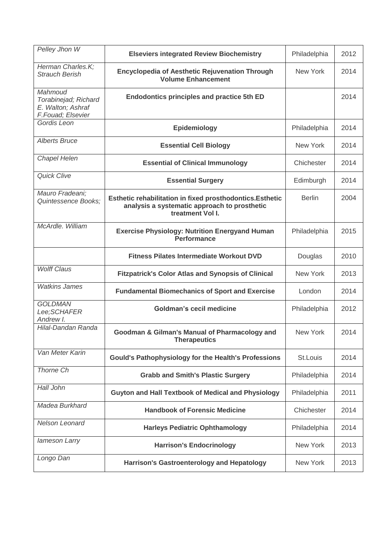| Pelley Jhon W                                                             | <b>Elseviers integrated Review Biochemistry</b>                                                                               | Philadelphia  | 2012 |
|---------------------------------------------------------------------------|-------------------------------------------------------------------------------------------------------------------------------|---------------|------|
| Herman Charles.K;<br><b>Strauch Berish</b>                                | <b>Encyclopedia of Aesthetic Rejuvenation Through</b><br><b>Volume Enhancement</b>                                            | New York      | 2014 |
| Mahmoud<br>Torabinejad; Richard<br>E. Walton; Ashraf<br>F.Fouad; Elsevier | <b>Endodontics principles and practice 5th ED</b>                                                                             |               | 2014 |
| Gordis Leon                                                               | Epidemiology                                                                                                                  | Philadelphia  | 2014 |
| <b>Alberts Bruce</b>                                                      | <b>Essential Cell Biology</b>                                                                                                 | New York      | 2014 |
| Chapel Helen                                                              | <b>Essential of Clinical Immunology</b>                                                                                       | Chichester    | 2014 |
| <b>Quick Clive</b>                                                        | <b>Essential Surgery</b>                                                                                                      | Edimburgh     | 2014 |
| Mauro Fradeani;<br>Quintessence Books;                                    | Esthetic rehabilitation in fixed prosthodontics. Esthetic<br>analysis a systematic approach to prosthetic<br>treatment Vol I. | <b>Berlin</b> | 2004 |
| McArdle. William                                                          | <b>Exercise Physiology: Nutrition Energyand Human</b><br><b>Performance</b>                                                   | Philadelphia  | 2015 |
|                                                                           | <b>Fitness Pilates Intermediate Workout DVD</b>                                                                               | Douglas       | 2010 |
| <b>Wolff Claus</b>                                                        | <b>Fitzpatrick's Color Atlas and Synopsis of Clinical</b>                                                                     | New York      | 2013 |
| <b>Watkins James</b>                                                      | <b>Fundamental Biomechanics of Sport and Exercise</b>                                                                         | London        | 2014 |
| <b>GOLDMAN</b><br>Lee:SCHAFER<br>Andrew I.                                | <b>Goldman's cecil medicine</b>                                                                                               | Philadelphia  | 2012 |
| Hilal-Dandan Randa                                                        | <b>Goodman &amp; Gilman's Manual of Pharmacology and</b><br><b>Therapeutics</b>                                               | New York      | 2014 |
| Van Meter Karin                                                           | <b>Gould's Pathophysiology for the Health's Professions</b>                                                                   | St.Louis      | 2014 |
| Thorne Ch                                                                 | <b>Grabb and Smith's Plastic Surgery</b>                                                                                      | Philadelphia  | 2014 |
| Hall John                                                                 | <b>Guyton and Hall Textbook of Medical and Physiology</b>                                                                     | Philadelphia  | 2011 |
| Madea Burkhard                                                            | <b>Handbook of Forensic Medicine</b>                                                                                          | Chichester    | 2014 |
| Nelson Leonard                                                            | <b>Harleys Pediatric Ophthamology</b>                                                                                         | Philadelphia  | 2014 |
| lameson Larry                                                             | <b>Harrison's Endocrinology</b>                                                                                               | New York      | 2013 |
| Longo Dan                                                                 | <b>Harrison's Gastroenterology and Hepatology</b>                                                                             | New York      | 2013 |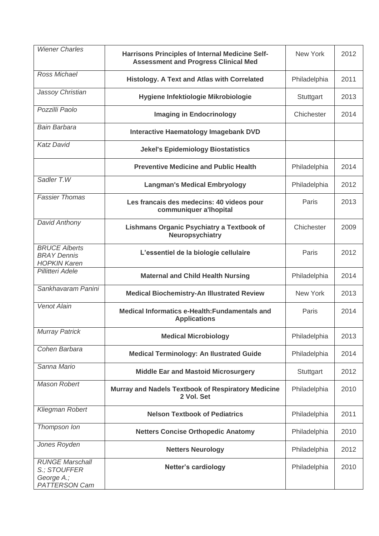| <b>Wiener Charles</b>                                                        | <b>Harrisons Principles of Internal Medicine Self-</b><br><b>Assessment and Progress Clinical Med</b> | New York     | 2012 |
|------------------------------------------------------------------------------|-------------------------------------------------------------------------------------------------------|--------------|------|
| Ross Michael                                                                 | <b>Histology. A Text and Atlas with Correlated</b>                                                    | Philadelphia | 2011 |
| Jassoy Christian                                                             | Hygiene Infektiologie Mikrobiologie                                                                   | Stuttgart    | 2013 |
| Pozzilli Paolo                                                               | <b>Imaging in Endocrinology</b>                                                                       | Chichester   | 2014 |
| <b>Bain Barbara</b>                                                          | <b>Interactive Haematology Imagebank DVD</b>                                                          |              |      |
| <b>Katz David</b>                                                            | <b>Jekel's Epidemiology Biostatistics</b>                                                             |              |      |
|                                                                              | <b>Preventive Medicine and Public Health</b>                                                          | Philadelphia | 2014 |
| Sadler T.W                                                                   | <b>Langman's Medical Embryology</b>                                                                   | Philadelphia | 2012 |
| <b>Fassier Thomas</b>                                                        | Les francais des medecins: 40 videos pour<br>communiquer a'lhopital                                   | Paris        | 2013 |
| David Anthony                                                                | <b>Lishmans Organic Psychiatry a Textbook of</b><br><b>Neuropsychiatry</b>                            | Chichester   | 2009 |
| <b>BRUCE Alberts</b><br><b>BRAY Dennis</b><br><b>HOPKIN Karen</b>            | L'essentiel de la biologie cellulaire                                                                 | Paris        | 2012 |
| Pillitteri Adele                                                             | <b>Maternal and Child Health Nursing</b>                                                              | Philadelphia | 2014 |
| Sankhavaram Panini                                                           | <b>Medical Biochemistry-An Illustrated Review</b>                                                     | New York     | 2013 |
| <b>Venot Alain</b>                                                           | Medical Informatics e-Health: Fundamentals and<br><b>Applications</b>                                 | Paris        | 2014 |
| <b>Murray Patrick</b>                                                        | <b>Medical Microbiology</b>                                                                           | Philadelphia | 2013 |
| Cohen Barbara                                                                | <b>Medical Terminology: An Ilustrated Guide</b>                                                       | Philadelphia | 2014 |
| Sanna Mario                                                                  | <b>Middle Ear and Mastoid Microsurgery</b>                                                            | Stuttgart    | 2012 |
| Mason Robert                                                                 | Murray and Nadels Textbook of Respiratory Medicine<br>2 Vol. Set                                      | Philadelphia | 2010 |
| Kliegman Robert                                                              | <b>Nelson Textbook of Pediatrics</b>                                                                  | Philadelphia | 2011 |
| Thompson Ion                                                                 | <b>Netters Concise Orthopedic Anatomy</b>                                                             | Philadelphia | 2010 |
| Jones Royden                                                                 | <b>Netters Neurology</b>                                                                              | Philadelphia | 2012 |
| <b>RUNGE Marschall</b><br>S.; STOUFFER<br>George A.;<br><b>PATTERSON Cam</b> | <b>Netter's cardiology</b>                                                                            | Philadelphia | 2010 |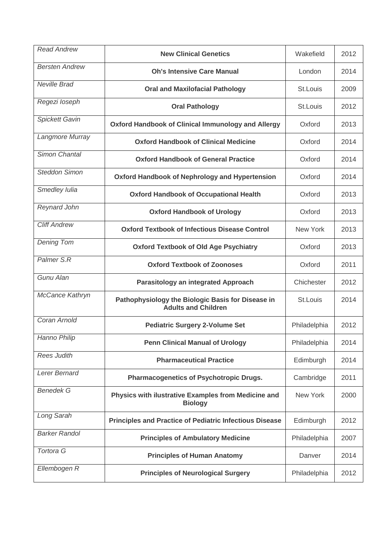| <b>Read Andrew</b>    | <b>New Clinical Genetics</b>                                                    | Wakefield       | 2012 |
|-----------------------|---------------------------------------------------------------------------------|-----------------|------|
| <b>Bersten Andrew</b> | <b>Oh's Intensive Care Manual</b>                                               | London          | 2014 |
| <b>Neville Brad</b>   | <b>Oral and Maxilofacial Pathology</b>                                          | St.Louis        | 2009 |
| Regezi loseph         | <b>Oral Pathology</b>                                                           | St.Louis        | 2012 |
| <b>Spickett Gavin</b> | <b>Oxford Handbook of Clinical Immunology and Allergy</b>                       | Oxford          | 2013 |
| Langmore Murray       | <b>Oxford Handbook of Clinical Medicine</b>                                     | Oxford          | 2014 |
| Simon Chantal         | <b>Oxford Handbook of General Practice</b>                                      | Oxford          | 2014 |
| <b>Steddon Simon</b>  | <b>Oxford Handbook of Nephrology and Hypertension</b>                           | Oxford          | 2014 |
| Smedley Iulia         | <b>Oxford Handbook of Occupational Health</b>                                   | Oxford          | 2013 |
| Reynard John          | <b>Oxford Handbook of Urology</b>                                               | Oxford          | 2013 |
| <b>Cliff Andrew</b>   | <b>Oxford Textbook of Infectious Disease Control</b>                            | <b>New York</b> | 2013 |
| <b>Dening Tom</b>     | <b>Oxford Textbook of Old Age Psychiatry</b>                                    | Oxford          | 2013 |
| Palmer S.R            | <b>Oxford Textbook of Zoonoses</b>                                              | Oxford          | 2011 |
| Gunu Alan             | <b>Parasitology an integrated Approach</b>                                      | Chichester      | 2012 |
| McCance Kathryn       | Pathophysiology the Biologic Basis for Disease in<br><b>Adults and Children</b> | St.Louis        | 2014 |
| Coran Arnold          | <b>Pediatric Surgery 2-Volume Set</b>                                           | Philadelphia    | 2012 |
| Hanno Philip          | <b>Penn Clinical Manual of Urology</b>                                          | Philadelphia    | 2014 |
| <b>Rees Judith</b>    | <b>Pharmaceutical Practice</b>                                                  | Edimburgh       | 2014 |
| Lerer Bernard         | <b>Pharmacogenetics of Psychotropic Drugs.</b>                                  | Cambridge       | 2011 |
| <b>Benedek G</b>      | Physics with ilustrative Examples from Medicine and<br><b>Biology</b>           | New York        | 2000 |
| Long Sarah            | <b>Principles and Practice of Pediatric Infectious Disease</b>                  | Edimburgh       | 2012 |
| <b>Barker Randol</b>  | <b>Principles of Ambulatory Medicine</b>                                        | Philadelphia    | 2007 |
| <b>Tortora G</b>      | <b>Principles of Human Anatomy</b>                                              | Danver          | 2014 |
| Ellembogen R          | <b>Principles of Neurological Surgery</b>                                       | Philadelphia    | 2012 |